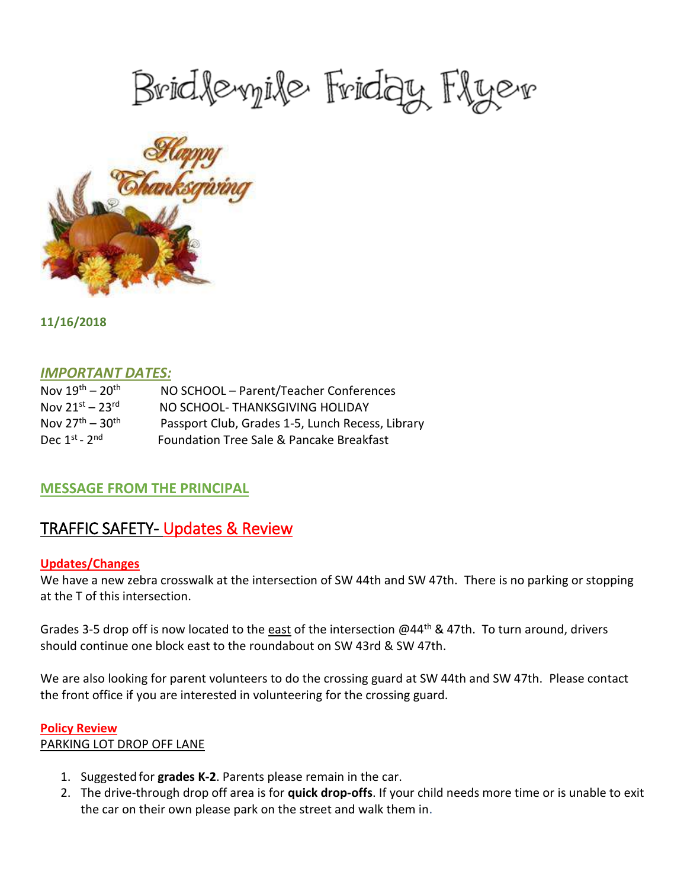# Bridlevyile Friday Flyer



**11/16/2018**

#### *IMPORTANT DATES:*

| Nov $19^{th} - 20^{th}$ | NO SCHOOL - Parent/Teacher Conferences           |
|-------------------------|--------------------------------------------------|
| Nov $21^{st} - 23^{rd}$ | NO SCHOOL- THANKSGIVING HOLIDAY                  |
| Nov $27^{th} - 30^{th}$ | Passport Club, Grades 1-5, Lunch Recess, Library |
| Dec $1^{st}$ - $2^{nd}$ | Foundation Tree Sale & Pancake Breakfast         |

## **MESSAGE FROM THE PRINCIPAL**

## TRAFFIC SAFETY- Updates & Review

#### **Updates/Changes**

We have a new zebra crosswalk at the intersection of SW 44th and SW 47th. There is no parking or stopping at the T of this intersection.

Grades 3-5 drop off is now located to the east of the intersection @44<sup>th</sup> & 47th. To turn around, drivers should continue one block east to the roundabout on SW 43rd & SW 47th.

We are also looking for parent volunteers to do the crossing guard at SW 44th and SW 47th. Please contact the front office if you are interested in volunteering for the crossing guard.

#### **Policy Review**

#### PARKING LOT DROP OFF LANE

- 1. Suggested for **grades K-2**. Parents please remain in the car.
- 2. The drive-through drop off area is for **quick drop-offs**. If your child needs more time or is unable to exit the car on their own please park on the street and walk them in.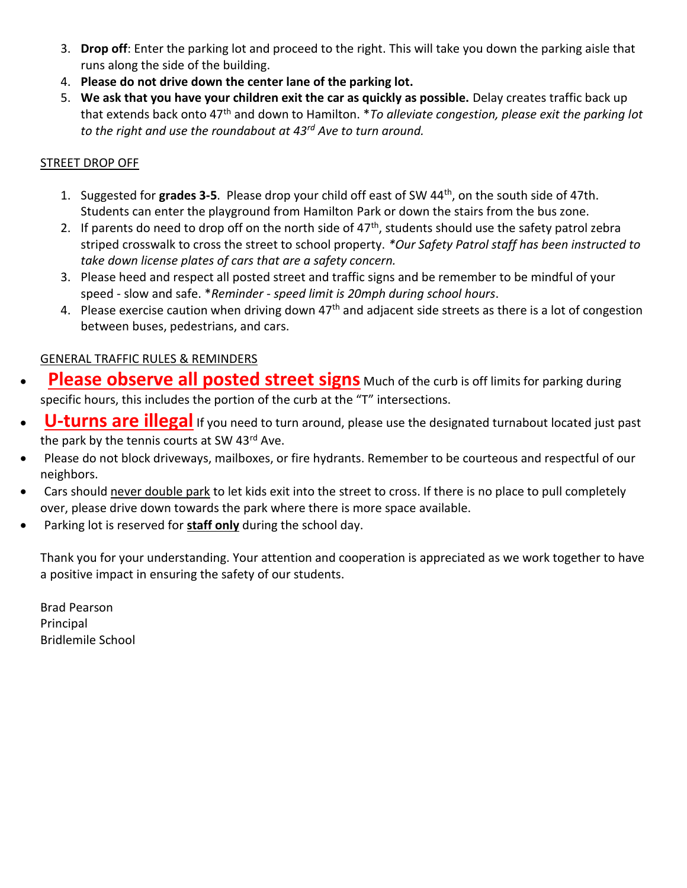- 3. **Drop off**: Enter the parking lot and proceed to the right. This will take you down the parking aisle that runs along the side of the building.
- 4. **Please do not drive down the center lane of the parking lot.**
- 5. **We ask that you have your children exit the car as quickly as possible.** Delay creates traffic back up that extends back onto 47th and down to Hamilton. \**To alleviate congestion, please exit the parking lot to the right and use the roundabout at 43rd Ave to turn around.*

#### STREET DROP OFF

- 1. Suggested for **grades 3-5**. Please drop your child off east of SW 44th, on the south side of 47th. Students can enter the playground from Hamilton Park or down the stairs from the bus zone.
- 2. If parents do need to drop off on the north side of  $47<sup>th</sup>$ , students should use the safety patrol zebra striped crosswalk to cross the street to school property. *\*Our Safety Patrol staff has been instructed to take down license plates of cars that are a safety concern.*
- 3. Please heed and respect all posted street and traffic signs and be remember to be mindful of your speed - slow and safe. \**Reminder - speed limit is 20mph during school hours*.
- 4. Please exercise caution when driving down  $47<sup>th</sup>$  and adjacent side streets as there is a lot of congestion between buses, pedestrians, and cars.

#### GENERAL TRAFFIC RULES & REMINDERS

- **Please observe all posted street signs** Much of the curb is off limits for parking during specific hours, this includes the portion of the curb at the "T" intersections.
- **U-turns are illegal** If you need to turn around, please use the designated turnabout located just past the park by the tennis courts at SW 43rd Ave.
- Please do not block driveways, mailboxes, or fire hydrants. Remember to be courteous and respectful of our neighbors.
- Cars should never double park to let kids exit into the street to cross. If there is no place to pull completely over, please drive down towards the park where there is more space available.
- Parking lot is reserved for **staff only** during the school day.

Thank you for your understanding. Your attention and cooperation is appreciated as we work together to have a positive impact in ensuring the safety of our students.

Brad Pearson Principal Bridlemile School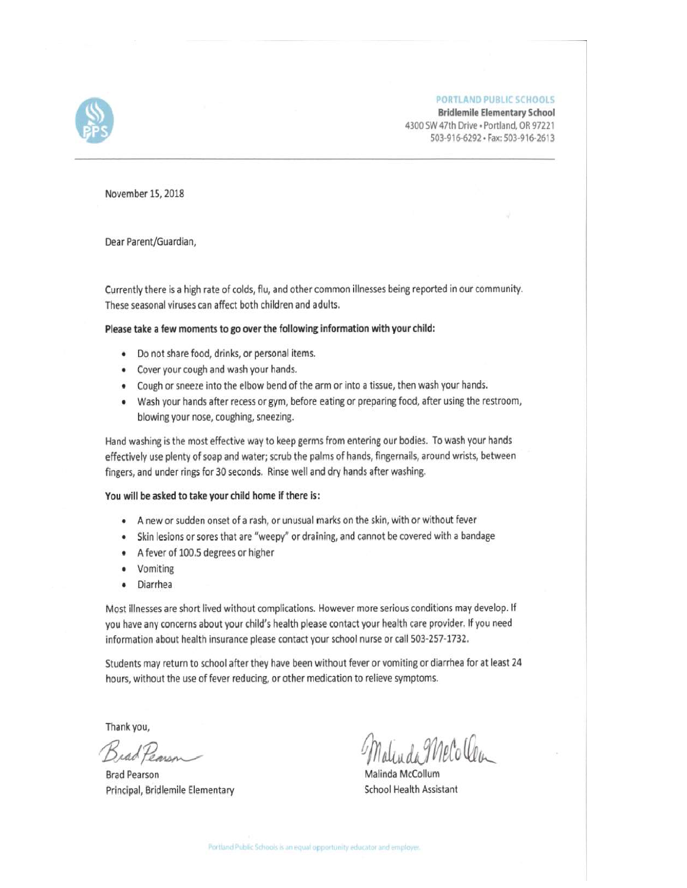**PORTLAND PUBLIC SCHOOLS** 



November 15, 2018

Dear Parent/Guardian,

Currently there is a high rate of colds, flu, and other common illnesses being reported in our community. These seasonal viruses can affect both children and adults.

#### Please take a few moments to go over the following information with your child:

- · Do not share food, drinks, or personal items.
- Cover your cough and wash your hands.
- Cough or sneeze into the elbow bend of the arm or into a tissue, then wash your hands.
- Wash your hands after recess or gym, before eating or preparing food, after using the restroom, blowing your nose, coughing, sneezing.

Hand washing is the most effective way to keep germs from entering our bodies. To wash your hands effectively use plenty of soap and water; scrub the palms of hands, fingernails, around wrists, between fingers, and under rings for 30 seconds. Rinse well and dry hands after washing.

#### You will be asked to take your child home if there is:

- A new or sudden onset of a rash, or unusual marks on the skin, with or without fever
- Skin lesions or sores that are "weepy" or draining, and cannot be covered with a bandage
- A fever of 100.5 degrees or higher
- Vomiting ٠
- Diarrhea  $\bullet$

Most illnesses are short lived without complications. However more serious conditions may develop. If you have any concerns about your child's health please contact your health care provider. If you need information about health insurance please contact your school nurse or call 503-257-1732.

Students may return to school after they have been without fever or vomiting or diarrhea for at least 24 hours, without the use of fever reducing, or other medication to relieve symptoms.

Thank you,

BradPearson

**Brad Pearson** Principal, Bridlemile Elementary

alinda Melo Ven

Malinda McCollum School Health Assistant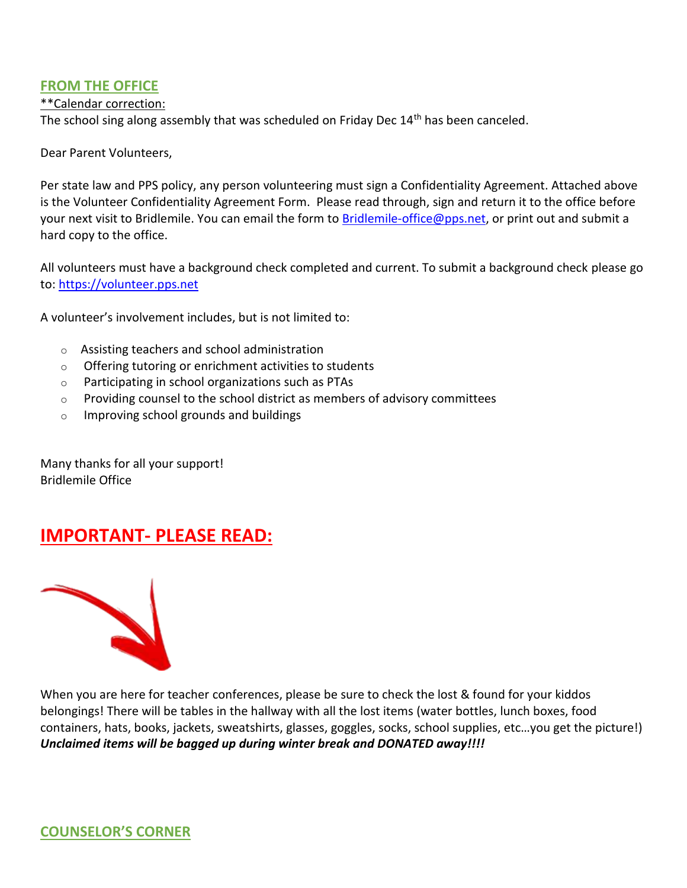#### **FROM THE OFFICE**

#### \*\*Calendar correction:

The school sing along assembly that was scheduled on Friday Dec 14<sup>th</sup> has been canceled.

Dear Parent Volunteers,

Per state law and PPS policy, any person volunteering must sign a Confidentiality Agreement. Attached above is the Volunteer Confidentiality Agreement Form. Please read through, sign and return it to the office before your next visit to Bridlemile. You can email the form to [Bridlemile-office@pps.net,](mailto:Bridlemile-office@pps.net) or print out and submit a hard copy to the office.

All volunteers must have a background check completed and current. To submit a background check please go to: [https://volunteer.pps.net](https://volunteer.pps.net/)

A volunteer's involvement includes, but is not limited to:

- o Assisting teachers and school administration
- o Offering tutoring or enrichment activities to students
- o Participating in school organizations such as PTAs
- $\circ$  Providing counsel to the school district as members of advisory committees
- o Improving school grounds and buildings

Many thanks for all your support! Bridlemile Office

# **IMPORTANT- PLEASE READ:**



When you are here for teacher conferences, please be sure to check the lost & found for your kiddos belongings! There will be tables in the hallway with all the lost items (water bottles, lunch boxes, food containers, hats, books, jackets, sweatshirts, glasses, goggles, socks, school supplies, etc…you get the picture!) *Unclaimed items will be bagged up during winter break and DONATED away!!!!*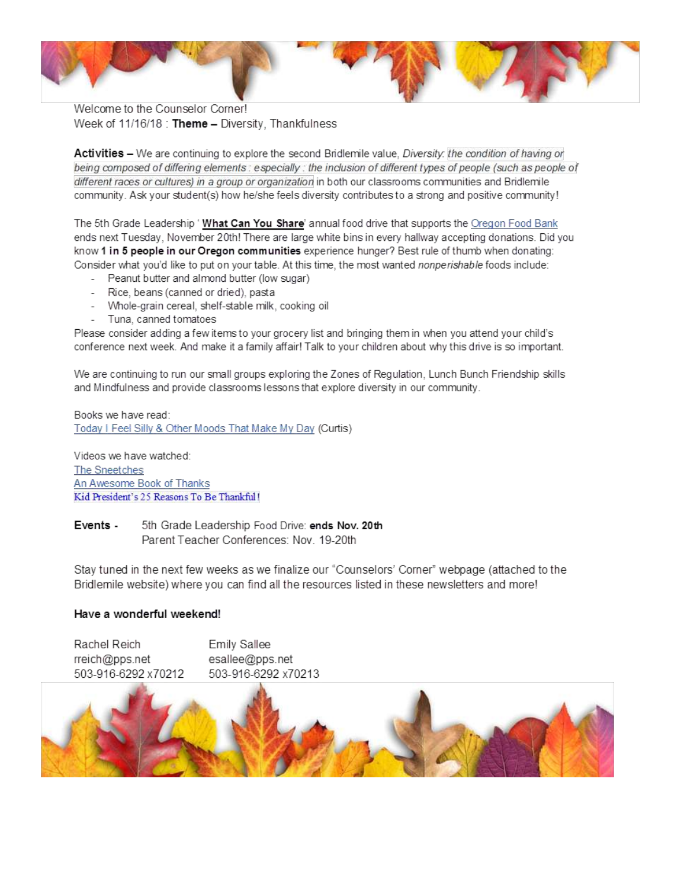

Welcome to the Counselor Corner! Week of 11/16/18 : Theme - Diversity, Thankfulness

Activities - We are continuing to explore the second Bridlemile value, Diversity: the condition of having or being composed of differing elements : especially : the inclusion of different types of people (such as people of different races or cultures) in a group or organization in both our classrooms communities and Bridlemile community. Ask your student(s) how he/she feels diversity contributes to a strong and positive community!

The 5th Grade Leadership ' What Can You Share' annual food drive that supports the Oregon Food Bank ends next Tuesday, November 20th! There are large white bins in every hallway accepting donations. Did vou know 1 in 5 people in our Oregon communities experience hunger? Best rule of thumb when donating: Consider what you'd like to put on your table. At this time, the most wanted nonperishable foods include:

- Peanut butter and almond butter (low sugar)
- Rice, beans (canned or dried), pasta
- Whole-grain cereal, shelf-stable milk, cooking oil
- Tuna, canned tomatoes

Please consider adding a few items to your grocery list and bringing them in when you attend your child's conference next week. And make it a family affair! Talk to your children about why this drive is so important.

We are continuing to run our small groups exploring the Zones of Regulation, Lunch Bunch Friendship skills and Mindfulness and provide classrooms lessons that explore diversity in our community.

Books we have read: Today I Feel Silly & Other Moods That Make My Day (Curtis)

Videos we have watched: The Sneetches An Awesome Book of Thanks Kid President's 25 Reasons To Be Thankful!

Events -5th Grade Leadership Food Drive: ends Nov. 20th Parent Teacher Conferences: Nov. 19-20th

Stay tuned in the next few weeks as we finalize our "Counselors' Corner" webpage (attached to the Bridlemile website) where you can find all the resources listed in these newsletters and more!

#### Have a wonderful weekend!

| Rachel Reich        | Emily Sallee        |
|---------------------|---------------------|
| rreich@pps.net      | esallee@pps.net     |
| 503-916-6292 x70212 | 503-916-6292 x70213 |

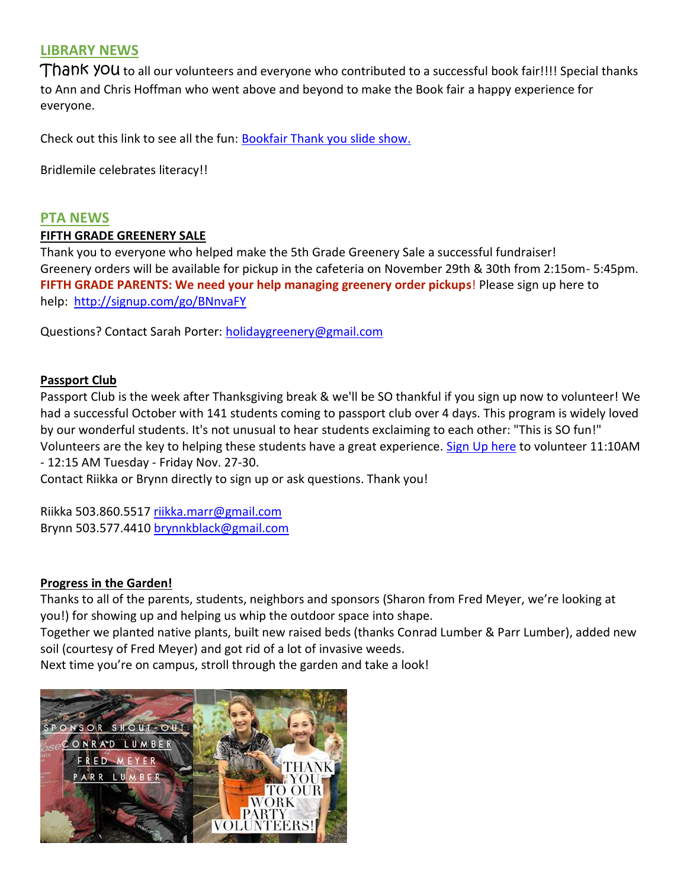### **LIBRARY NEWS**

Thank you to all our volunteers and everyone who contributed to a successful book fair!!!! Special thanks to Ann and Chris Hoffman who went above and beyond to make the Book fair a happy experience for everyone.

Check out this link to see all the fun: [Bookfair Thank you slide show.](https://animoto.com/play/bLjeFztlbSaTbf0kG8YgOw)

Bridlemile celebrates literacy!!

#### **PTA NEWS**

#### **FIFTH GRADE GREENERY SALE**

Thank you to everyone who helped make the 5th Grade Greenery Sale a successful fundraiser! Greenery orders will be available for pickup in the cafeteria on November 29th & 30th from 2:15om- 5:45pm. **FIFTH GRADE PARENTS: We need your help managing greenery order pickups**! Please sign up here to help: <http://signup.com/go/BNnvaFY>

Questions? Contact Sarah Porter: [holidaygreenery@gmail.com](mailto:holidaygreenery@gmail.com)

#### **Passport Club**

Passport Club is the week after Thanksgiving break & we'll be SO thankful if you sign up now to volunteer! We had a successful October with 141 students coming to passport club over 4 days. This program is widely loved by our wonderful students. It's not unusual to hear students exclaiming to each other: "This is SO fun!" Volunteers are the key to helping these students have a great experience. [Sign Up here](http://signup.com/go/e5n5fH) to volunteer 11:10AM - 12:15 AM Tuesday - Friday Nov. 27-30.

Contact Riikka or Brynn directly to sign up or ask questions. Thank you!

Riikka 503.860.5517 [riikka.marr@gmail.com](mailto:riikka.marr@gmail.com) Brynn 503.577.4410 [brynnkblack@gmail.com](mailto:brynnkblack@gmail.com)

#### **Progress in the Garden!**

Thanks to all of the parents, students, neighbors and sponsors (Sharon from Fred Meyer, we're looking at you!) for showing up and helping us whip the outdoor space into shape.

Together we planted native plants, built new raised beds (thanks Conrad Lumber & Parr Lumber), added new soil (courtesy of Fred Meyer) and got rid of a lot of invasive weeds.

Next time you're on campus, stroll through the garden and take a look!

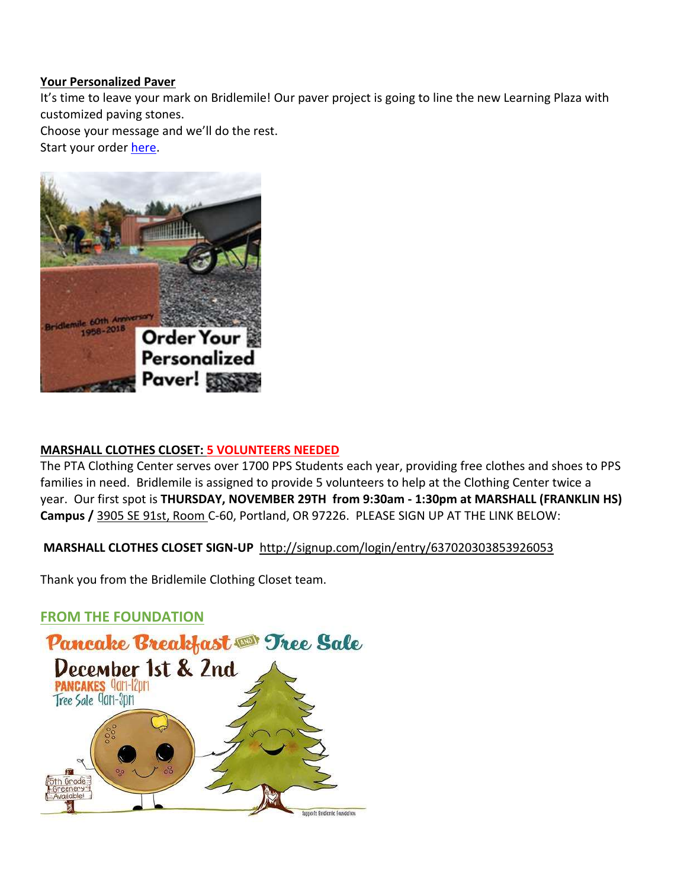#### **Your Personalized Paver**

It's time to leave your mark on Bridlemile! Our paver project is going to line the new Learning Plaza with customized paving stones.

Choose your message and we'll do the rest.

Start your order [here.](https://static1.squarespace.com/static/59adf343d2b85742f76e34aa/t/5baeb304a4222f4166bcbf03/1538175750214/Bridlemile60Commemorative+Pavers.pdf)



#### **MARSHALL CLOTHES CLOSET: 5 VOLUNTEERS NEEDED**

The PTA Clothing Center serves over 1700 PPS Students each year, providing free clothes and shoes to PPS families in need. Bridlemile is assigned to provide 5 volunteers to help at the Clothing Center twice a year. Our first spot is **THURSDAY, NOVEMBER 29TH from 9:30am - 1:30pm at MARSHALL (FRANKLIN HS) Campus /** [3905 SE 91st, Room](https://maps.google.com/?q=3905+SE+91st,+Room+B&entry=gmail&source=g) C-60, Portland, OR 97226. PLEASE SIGN UP AT THE LINK BELOW:

#### **MARSHALL CLOTHES CLOSET SIGN-UP** <http://signup.com/login/entry/637020303853926053>

Thank you from the Bridlemile Clothing Closet team.

#### **FROM THE FOUNDATION**

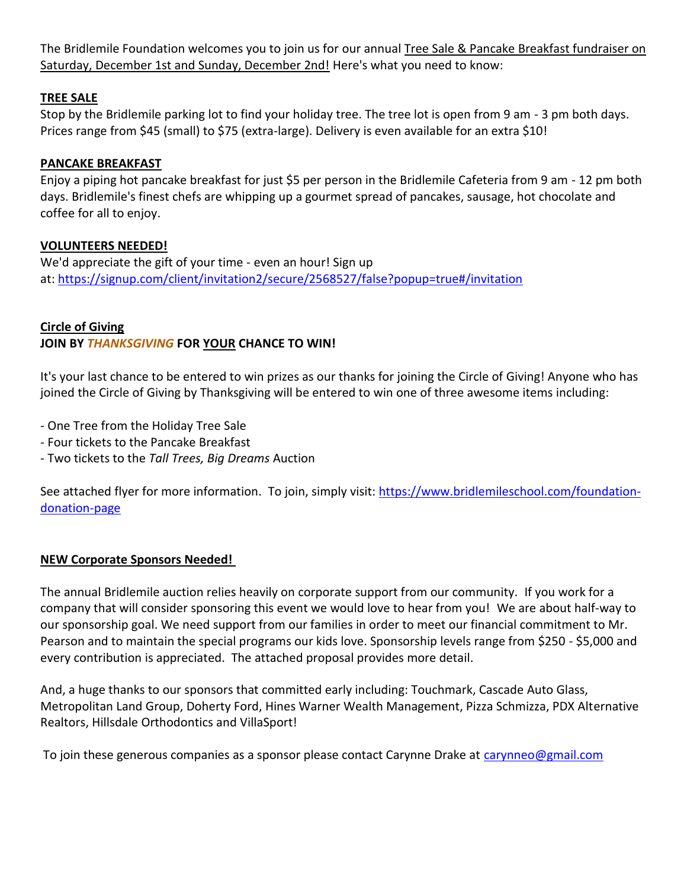The Bridlemile Foundation welcomes you to join us for our annual Tree Sale & Pancake Breakfast fundraiser on Saturday, December 1st and Sunday, December 2nd! Here's what you need to know:

#### **TREE SALE**

Stop by the Bridlemile parking lot to find your holiday tree. The tree lot is open from 9 am - 3 pm both days. Prices range from \$45 (small) to \$75 (extra-large). Delivery is even available for an extra \$10!

#### **PANCAKE BREAKFAST**

Enjoy a piping hot pancake breakfast for just \$5 per person in the Bridlemile Cafeteria from 9 am - 12 pm both days. Bridlemile's finest chefs are whipping up a gourmet spread of pancakes, sausage, hot chocolate and coffee for all to enjoy.

#### **VOLUNTEERS NEEDED!**

We'd appreciate the gift of your time - even an hour! Sign up at: <https://signup.com/client/invitation2/secure/2568527/false?popup=true#/invitation>

#### **Circle of Giving**

#### **JOIN BY** *THANKSGIVING* **FOR YOUR CHANCE TO WIN!**

It's your last chance to be entered to win prizes as our thanks for joining the Circle of Giving! Anyone who has joined the Circle of Giving by Thanksgiving will be entered to win one of three awesome items including:

- One Tree from the Holiday Tree Sale

- Four tickets to the Pancake Breakfast
- Two tickets to the *Tall Trees, Big Dreams* Auction

See attached flyer for more information. To join, simply visit: [https://www.bridlemileschool.com/foundation](https://www.bridlemileschool.com/foundation-donation-page)[donation-page](https://www.bridlemileschool.com/foundation-donation-page)

#### **NEW Corporate Sponsors Needed!**

The annual Bridlemile auction relies heavily on corporate support from our community. If you work for a company that will consider sponsoring this event we would love to hear from you! We are about half-way to our sponsorship goal. We need support from our families in order to meet our financial commitment to Mr. Pearson and to maintain the special programs our kids love. Sponsorship levels range from \$250 - \$5,000 and every contribution is appreciated. The attached proposal provides more detail.

And, a huge thanks to our sponsors that committed early including: Touchmark, Cascade Auto Glass, Metropolitan Land Group, Doherty Ford, Hines Warner Wealth Management, Pizza Schmizza, PDX Alternative Realtors, Hillsdale Orthodontics and VillaSport!

To join these generous companies as a sponsor please contact Carynne Drake at [carynneo@gmail.com](mailto:carynneo@gmail.com)